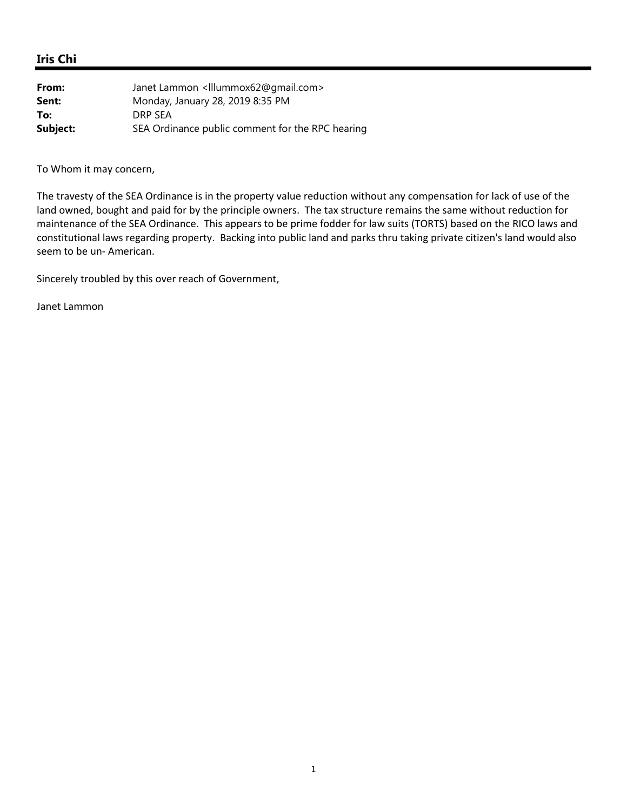## **Iris Chi**

| From:    | Janet Lammon <illummox62@gmail.com></illummox62@gmail.com> |
|----------|------------------------------------------------------------|
| Sent:    | Monday, January 28, 2019 8:35 PM                           |
| To:      | DRP SEA                                                    |
| Subject: | SEA Ordinance public comment for the RPC hearing           |

To Whom it may concern,

The travesty of the SEA Ordinance is in the property value reduction without any compensation for lack of use of the land owned, bought and paid for by the principle owners. The tax structure remains the same without reduction for maintenance of the SEA Ordinance. This appears to be prime fodder for law suits (TORTS) based on the RICO laws and constitutional laws regarding property. Backing into public land and parks thru taking private citizen's land would also seem to be un‐ American.

Sincerely troubled by this over reach of Government,

Janet Lammon